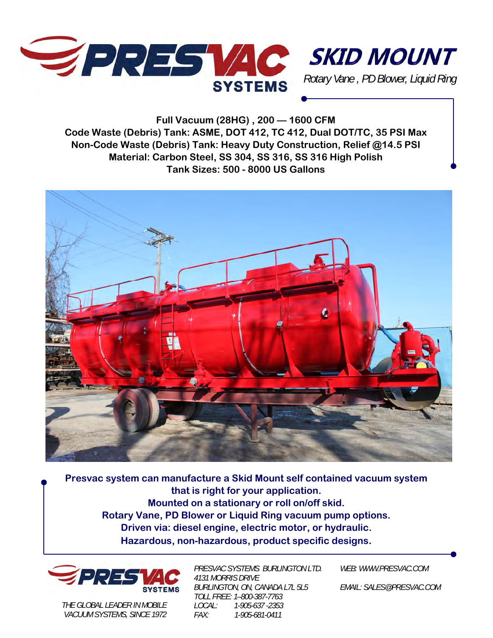



**Full Vacuum (28HG) , 200 — 1600 CFM Code Waste (Debris) Tank: ASME, DOT 412, TC 412, Dual DOT/TC, 35 PSI Max Non-Code Waste (Debris) Tank: Heavy Duty Construction, Relief @14.5 PSI Material: Carbon Steel, SS 304, SS 316, SS 316 High Polish Tank Sizes: 500 - 8000 US Gallons** 



**Presvac system can manufacture a Skid Mount self contained vacuum system that is right for your application. Mounted on a stationary or roll on/off skid. Rotary Vane, PD Blower or Liquid Ring vacuum pump options. Driven via: diesel engine, electric motor, or hydraulic. Hazardous, non-hazardous, product specific designs.** 



*THE GLOBAL LEADER IN MOBILE VACUUM SYSTEMS, SINCE 1972*  *PRESVAC SYSTEMS BURLINGTON LTD. 4131 MORRIS DRIVE BURLINGTON, ON, CANADA L7L 5L5 TOLL FREE: 1–800-387-7763 LOCAL: 1-905-637 -2353 FAX: 1-905-681-0411* 

*WEB: WWW.PRESVAC.COM* 

*EMAIL: SALES@PRESVAC.COM*